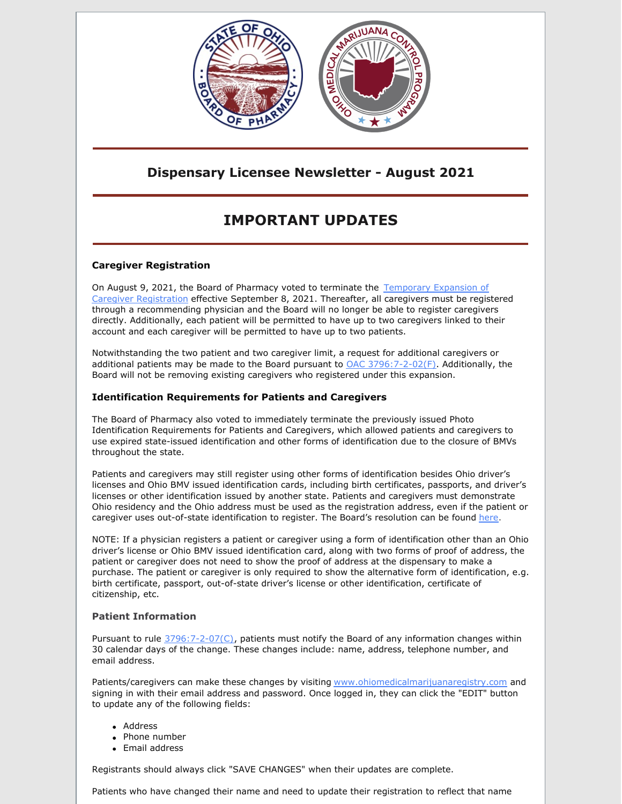

### **Dispensary Licensee Newsletter - August 2021**

# **IMPORTANT UPDATES**

### **Caregiver Registration**

On August 9, 2021, the Board of Pharmacy voted to terminate the Temporary Expansion of Caregiver [Registration](https://www.medicalmarijuana.ohio.gov/Documents/CoronaVirus/Temporary Expansion of Caregiver Registration.pdf) effective September 8, 2021. Thereafter, all caregivers must be registered through a recommending physician and the Board will no longer be able to register caregivers directly. Additionally, each patient will be permitted to have up to two caregivers linked to their account and each caregiver will be permitted to have up to two patients.

Notwithstanding the two patient and two caregiver limit, a request for additional caregivers or additional patients may be made to the Board pursuant to  $OAC 3796:7-2-02(F)$  $OAC 3796:7-2-02(F)$ . Additionally, the Board will not be removing existing caregivers who registered under this expansion.

### **Identification Requirements for Patients and Caregivers**

The Board of Pharmacy also voted to immediately terminate the previously issued Photo Identification Requirements for Patients and Caregivers, which allowed patients and caregivers to use expired state-issued identification and other forms of identification due to the closure of BMVs throughout the state.

Patients and caregivers may still register using other forms of identification besides Ohio driver's licenses and Ohio BMV issued identification cards, including birth certificates, passports, and driver's licenses or other identification issued by another state. Patients and caregivers must demonstrate Ohio residency and the Ohio address must be used as the registration address, even if the patient or caregiver uses out-of-state identification to register. The Board's resolution can be found [here.](https://www.medicalmarijuana.ohio.gov/Documents/PatientsCaregivers/PATIENT & CAREGIVER RESOURCES/PATIENT AND CAREGIVER REGISTRY/Other Forms of Identification Approved by the Board of Pharmacy to Demonstrate Ohio Residency.pdf)

NOTE: If a physician registers a patient or caregiver using a form of identification other than an Ohio driver's license or Ohio BMV issued identification card, along with two forms of proof of address, the patient or caregiver does not need to show the proof of address at the dispensary to make a purchase. The patient or caregiver is only required to show the alternative form of identification, e.g. birth certificate, passport, out-of-state driver's license or other identification, certificate of citizenship, etc.

### **Patient Information**

Pursuant to rule [3796:7-2-07\(C\)](https://codes.ohio.gov/ohio-administrative-code/chapter-3796:7-2), patients must notify the Board of any information changes within 30 calendar days of the change. These changes include: name, address, telephone number, and email address.

Patients/caregivers can make these changes by visiting [www.ohiomedicalmarijuanaregistry.com](http://www.ohiomedicalmarijuanaregistry.com/) and signing in with their email address and password. Once logged in, they can click the "EDIT" button to update any of the following fields:

- Address
- Phone number
- Email address

Registrants should always click "SAVE CHANGES" when their updates are complete.

Patients who have changed their name and need to update their registration to reflect that name